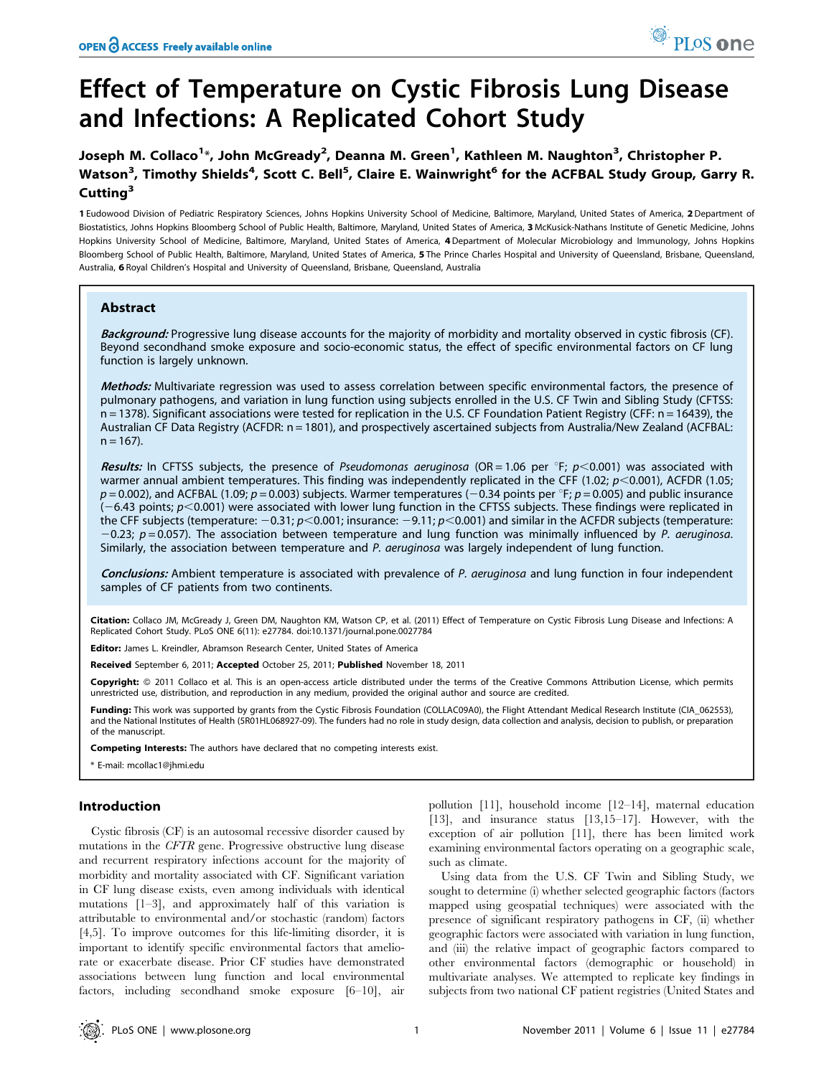# Effect of Temperature on Cystic Fibrosis Lung Disease and Infections: A Replicated Cohort Study

1 Eudowood Division of Pediatric Respiratory Sciences, Johns Hopkins University School of Medicine, Baltimore, Maryland, United States of America, 2 Department of Biostatistics, Johns Hopkins Bloomberg School of Public Health, Baltimore, Maryland, United States of America, 3 McKusick-Nathans Institute of Genetic Medicine, Johns Hopkins University School of Medicine, Baltimore, Maryland, United States of America, 4 Department of Molecular Microbiology and Immunology, Johns Hopkins Bloomberg School of Public Health, Baltimore, Maryland, United States of America, 5 The Prince Charles Hospital and University of Queensland, Brisbane, Queensland, Australia, 6 Royal Children's Hospital and University of Queensland, Brisbane, Queensland, Australia

# Abstract

Background: Progressive lung disease accounts for the majority of morbidity and mortality observed in cystic fibrosis (CF). Beyond secondhand smoke exposure and socio-economic status, the effect of specific environmental factors on CF lung function is largely unknown.

Methods: Multivariate regression was used to assess correlation between specific environmental factors, the presence of pulmonary pathogens, and variation in lung function using subjects enrolled in the U.S. CF Twin and Sibling Study (CFTSS: n = 1378). Significant associations were tested for replication in the U.S. CF Foundation Patient Registry (CFF: n = 16439), the Australian CF Data Registry (ACFDR: n = 1801), and prospectively ascertained subjects from Australia/New Zealand (ACFBAL:  $n = 167$ ).

Results: In CFTSS subjects, the presence of Pseudomonas aeruginosa (OR = 1.06 per °F;  $p$ <0.001) was associated with warmer annual ambient temperatures. This finding was independently replicated in the CFF (1.02;  $p<0.001$ ), ACFDR (1.05;  $p = 0.002$ ), and ACFBAL (1.09;  $p = 0.003$ ) subjects. Warmer temperatures (-0.34 points per °F;  $p = 0.005$ ) and public insurance (-6.43 points; p<0.001) were associated with lower lung function in the CFTSS subjects. These findings were replicated in the CFF subjects (temperature:  $-0.31$ ;  $p<0.001$ ; insurance:  $-9.11$ ;  $p<0.001$ ) and similar in the ACFDR subjects (temperature:  $-0.23$ ; p = 0.057). The association between temperature and lung function was minimally influenced by P. aeruginosa. Similarly, the association between temperature and P. aeruginosa was largely independent of lung function.

Conclusions: Ambient temperature is associated with prevalence of P. aeruginosa and lung function in four independent samples of CF patients from two continents.

Citation: Collaco JM, McGready J, Green DM, Naughton KM, Watson CP, et al. (2011) Effect of Temperature on Cystic Fibrosis Lung Disease and Infections: A Replicated Cohort Study. PLoS ONE 6(11): e27784. doi:10.1371/journal.pone.0027784

Editor: James L. Kreindler, Abramson Research Center, United States of America

Received September 6, 2011; Accepted October 25, 2011; Published November 18, 2011

**Copyright:** © 2011 Collaco et al. This is an open-access article distributed under the terms of the Creative Commons Attribution License, which permits unrestricted use, distribution, and reproduction in any medium, provided the original author and source are credited.

Funding: This work was supported by grants from the Cystic Fibrosis Foundation (COLLAC09A0), the Flight Attendant Medical Research Institute (CIA\_062553), and the National Institutes of Health (5R01HL068927-09). The funders had no role in study design, data collection and analysis, decision to publish, or preparation of the manuscript.

Competing Interests: The authors have declared that no competing interests exist.

\* E-mail: mcollac1@jhmi.edu

## Introduction

Cystic fibrosis (CF) is an autosomal recessive disorder caused by mutations in the CFTR gene. Progressive obstructive lung disease and recurrent respiratory infections account for the majority of morbidity and mortality associated with CF. Significant variation in CF lung disease exists, even among individuals with identical mutations [1–3], and approximately half of this variation is attributable to environmental and/or stochastic (random) factors [4,5]. To improve outcomes for this life-limiting disorder, it is important to identify specific environmental factors that ameliorate or exacerbate disease. Prior CF studies have demonstrated associations between lung function and local environmental factors, including secondhand smoke exposure [6–10], air

pollution [11], household income [12–14], maternal education [13], and insurance status [13,15–17]. However, with the exception of air pollution [11], there has been limited work examining environmental factors operating on a geographic scale, such as climate.

Using data from the U.S. CF Twin and Sibling Study, we sought to determine (i) whether selected geographic factors (factors mapped using geospatial techniques) were associated with the presence of significant respiratory pathogens in CF, (ii) whether geographic factors were associated with variation in lung function, and (iii) the relative impact of geographic factors compared to other environmental factors (demographic or household) in multivariate analyses. We attempted to replicate key findings in subjects from two national CF patient registries (United States and

PLoS one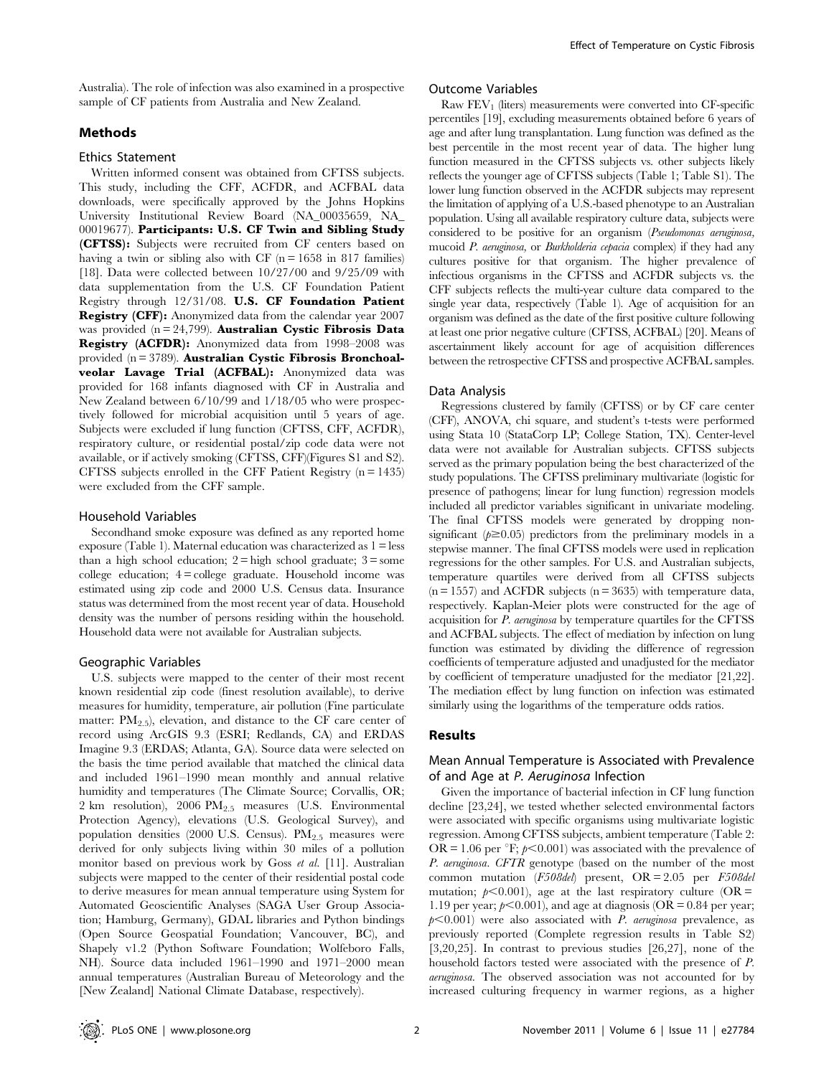Australia). The role of infection was also examined in a prospective sample of CF patients from Australia and New Zealand.

# Methods

## Ethics Statement

Written informed consent was obtained from CFTSS subjects. This study, including the CFF, ACFDR, and ACFBAL data downloads, were specifically approved by the Johns Hopkins University Institutional Review Board (NA\_00035659, NA\_ 00019677). Participants: U.S. CF Twin and Sibling Study (CFTSS): Subjects were recruited from CF centers based on having a twin or sibling also with CF  $(n = 1658$  in 817 families) [18]. Data were collected between 10/27/00 and 9/25/09 with data supplementation from the U.S. CF Foundation Patient Registry through 12/31/08. U.S. CF Foundation Patient Registry (CFF): Anonymized data from the calendar year 2007 was provided  $(n = 24,799)$ . **Australian Cystic Fibrosis Data** Registry (ACFDR): Anonymized data from 1998–2008 was provided (n = 3789). Australian Cystic Fibrosis Bronchoalveolar Lavage Trial (ACFBAL): Anonymized data was provided for 168 infants diagnosed with CF in Australia and New Zealand between 6/10/99 and 1/18/05 who were prospectively followed for microbial acquisition until 5 years of age. Subjects were excluded if lung function (CFTSS, CFF, ACFDR), respiratory culture, or residential postal/zip code data were not available, or if actively smoking (CFTSS, CFF)(Figures S1 and S2). CFTSS subjects enrolled in the CFF Patient Registry  $(n = 1435)$ were excluded from the CFF sample.

## Household Variables

Secondhand smoke exposure was defined as any reported home exposure (Table 1). Maternal education was characterized as 1 = less than a high school education;  $2 =$  high school graduate;  $3 =$  some college education;  $4 =$ college graduate. Household income was estimated using zip code and 2000 U.S. Census data. Insurance status was determined from the most recent year of data. Household density was the number of persons residing within the household. Household data were not available for Australian subjects.

## Geographic Variables

U.S. subjects were mapped to the center of their most recent known residential zip code (finest resolution available), to derive measures for humidity, temperature, air pollution (Fine particulate matter:  $PM_{2.5}$ , elevation, and distance to the CF care center of record using ArcGIS 9.3 (ESRI; Redlands, CA) and ERDAS Imagine 9.3 (ERDAS; Atlanta, GA). Source data were selected on the basis the time period available that matched the clinical data and included 1961–1990 mean monthly and annual relative humidity and temperatures (The Climate Source; Corvallis, OR; 2 km resolution), 2006  $PM_{2.5}$  measures (U.S. Environmental Protection Agency), elevations (U.S. Geological Survey), and population densities (2000 U.S. Census).  $PM_{2.5}$  measures were derived for only subjects living within 30 miles of a pollution monitor based on previous work by Goss et al. [11]. Australian subjects were mapped to the center of their residential postal code to derive measures for mean annual temperature using System for Automated Geoscientific Analyses (SAGA User Group Association; Hamburg, Germany), GDAL libraries and Python bindings (Open Source Geospatial Foundation; Vancouver, BC), and Shapely v1.2 (Python Software Foundation; Wolfeboro Falls, NH). Source data included 1961–1990 and 1971–2000 mean annual temperatures (Australian Bureau of Meteorology and the [New Zealand] National Climate Database, respectively).

## Outcome Variables

Raw  $FEV<sub>1</sub>$  (liters) measurements were converted into CF-specific percentiles [19], excluding measurements obtained before 6 years of age and after lung transplantation. Lung function was defined as the best percentile in the most recent year of data. The higher lung function measured in the CFTSS subjects vs. other subjects likely reflects the younger age of CFTSS subjects (Table 1; Table S1). The lower lung function observed in the ACFDR subjects may represent the limitation of applying of a U.S.-based phenotype to an Australian population. Using all available respiratory culture data, subjects were considered to be positive for an organism (Pseudomonas aeruginosa, mucoid P. aeruginosa, or Burkholderia cepacia complex) if they had any cultures positive for that organism. The higher prevalence of infectious organisms in the CFTSS and ACFDR subjects vs. the CFF subjects reflects the multi-year culture data compared to the single year data, respectively (Table 1). Age of acquisition for an organism was defined as the date of the first positive culture following at least one prior negative culture (CFTSS, ACFBAL) [20]. Means of ascertainment likely account for age of acquisition differences between the retrospective CFTSS and prospective ACFBAL samples.

#### Data Analysis

Regressions clustered by family (CFTSS) or by CF care center (CFF), ANOVA, chi square, and student's t-tests were performed using Stata 10 (StataCorp LP; College Station, TX). Center-level data were not available for Australian subjects. CFTSS subjects served as the primary population being the best characterized of the study populations. The CFTSS preliminary multivariate (logistic for presence of pathogens; linear for lung function) regression models included all predictor variables significant in univariate modeling. The final CFTSS models were generated by dropping nonsignificant  $(p\geq 0.05)$  predictors from the preliminary models in a stepwise manner. The final CFTSS models were used in replication regressions for the other samples. For U.S. and Australian subjects, temperature quartiles were derived from all CFTSS subjects  $(n = 1557)$  and ACFDR subjects  $(n = 3635)$  with temperature data, respectively. Kaplan-Meier plots were constructed for the age of acquisition for P. aeruginosa by temperature quartiles for the CFTSS and ACFBAL subjects. The effect of mediation by infection on lung function was estimated by dividing the difference of regression coefficients of temperature adjusted and unadjusted for the mediator by coefficient of temperature unadjusted for the mediator [21,22]. The mediation effect by lung function on infection was estimated similarly using the logarithms of the temperature odds ratios.

## Results

# Mean Annual Temperature is Associated with Prevalence of and Age at P. Aeruginosa Infection

Given the importance of bacterial infection in CF lung function decline [23,24], we tested whether selected environmental factors were associated with specific organisms using multivariate logistic regression. Among CFTSS subjects, ambient temperature (Table 2:  $OR = 1.06$  per <sup>o</sup>F;  $p<0.001$ ) was associated with the prevalence of P. aeruginosa. CFTR genotype (based on the number of the most common mutation (F508del) present, OR = 2.05 per F508del mutation;  $p<0.001$ ), age at the last respiratory culture (OR = 1.19 per year;  $p<0.001$ ), and age at diagnosis (OR = 0.84 per year;  $p<0.001$ ) were also associated with *P. aeruginosa* prevalence, as previously reported (Complete regression results in Table S2) [3,20,25]. In contrast to previous studies [26,27], none of the household factors tested were associated with the presence of P. aeruginosa. The observed association was not accounted for by increased culturing frequency in warmer regions, as a higher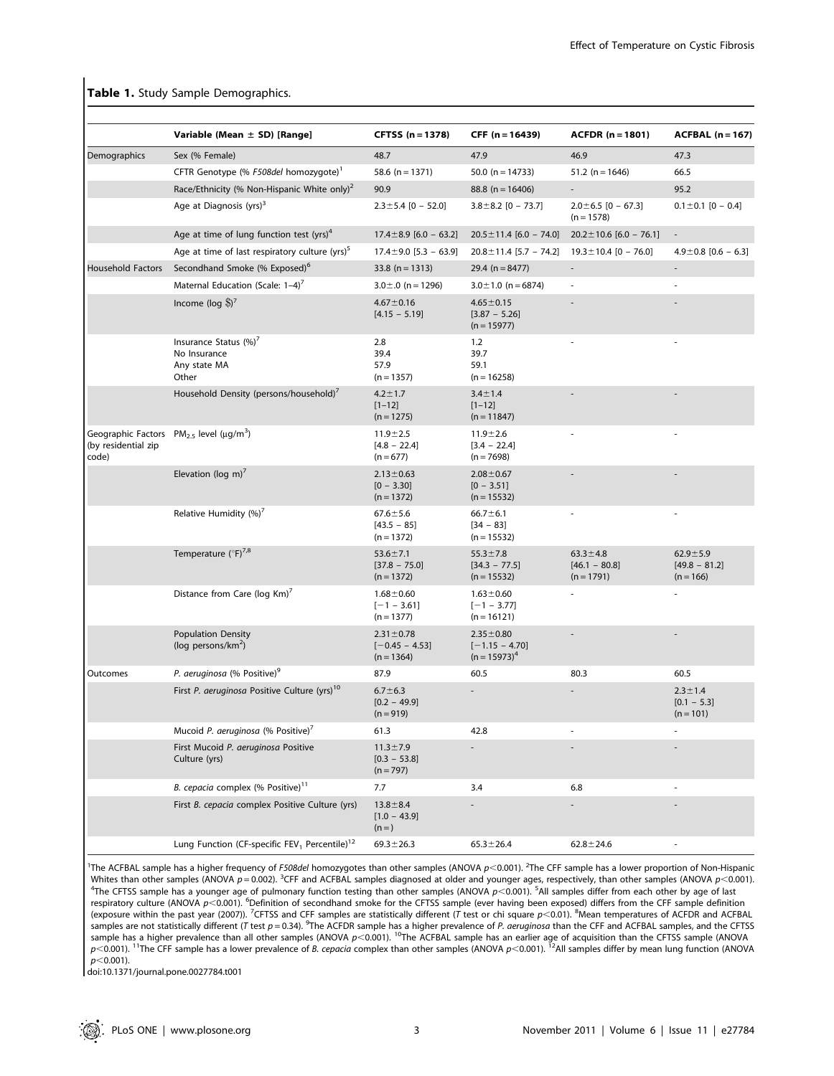# Table 1. Study Sample Demographics.

|                              | Variable (Mean $\pm$ SD) [Range]                                      | <b>CFTSS (n = 1378)</b>                             | CFF (n = 16439)                                        | $ACFDR (n = 1801)$                                | $ACFBAL (n = 167)$                             |
|------------------------------|-----------------------------------------------------------------------|-----------------------------------------------------|--------------------------------------------------------|---------------------------------------------------|------------------------------------------------|
| Demographics                 | Sex (% Female)                                                        | 48.7                                                | 47.9                                                   | 46.9                                              | 47.3                                           |
|                              | CFTR Genotype (% F508del homozygote) <sup>1</sup>                     | 58.6 ( $n = 1371$ )                                 | 50.0 ( $n = 14733$ )                                   | $51.2$ (n = 1646)                                 | 66.5                                           |
|                              | Race/Ethnicity (% Non-Hispanic White only) <sup>2</sup>               | 90.9                                                | 88.8 ( $n = 16406$ )                                   |                                                   | 95.2                                           |
|                              | Age at Diagnosis (yrs) <sup>3</sup>                                   | $2.3 \pm 5.4$ [0 - 52.0]                            | $3.8 \pm 8.2$ [0 - 73.7]                               | $2.0 \pm 6.5$ [0 - 67.3]<br>$(n = 1578)$          | $0.1 \pm 0.1$ [0 - 0.4]                        |
|                              | Age at time of lung function test $(yrs)^4$                           | $17.4 \pm 8.9$ [6.0 - 63.2]                         | $20.5 \pm 11.4$ [6.0 - 74.0]                           | $20.2 \pm 10.6$ [6.0 – 76.1]                      | $\overline{\phantom{a}}$                       |
|                              | Age at time of last respiratory culture (yrs) <sup>5</sup>            | $17.4 \pm 9.0$ [5.3 - 63.9]                         | $20.8 \pm 11.4$ [5.7 - 74.2]                           | $19.3 \pm 10.4$ [0 - 76.0]                        | $4.9 \pm 0.8$ [0.6 - 6.3]                      |
| Household Factors            | Secondhand Smoke (% Exposed) <sup>6</sup>                             | $33.8$ (n = 1313)                                   | 29.4 ( $n = 8477$ )                                    | $\overline{\phantom{a}}$                          |                                                |
|                              | Maternal Education (Scale: 1-4) <sup>7</sup>                          | $3.0 \pm .0$ (n = 1296)                             | $3.0 \pm 1.0$ (n = 6874)                               |                                                   |                                                |
|                              | Income ( $log$ $\text{\$}$ ) <sup>7</sup>                             | $4.67 \pm 0.16$<br>$[4.15 - 5.19]$                  | $4.65 \pm 0.15$<br>$[3.87 - 5.26]$<br>$(n = 15977)$    |                                                   |                                                |
|                              | Insurance Status (%)'<br>No Insurance<br>Any state MA<br>Other        | 2.8<br>39.4<br>57.9<br>$(n = 1357)$                 | 1.2<br>39.7<br>59.1<br>$(n = 16258)$                   |                                                   |                                                |
|                              | Household Density (persons/household)                                 | $4.2 \pm 1.7$<br>$[1 - 12]$<br>$(n = 1275)$         | $3.4 \pm 1.4$<br>$[1 - 12]$<br>$(n = 11847)$           |                                                   |                                                |
| (by residential zip<br>code) | Geographic Factors $PM_{2.5}$ level ( $\mu$ g/m <sup>3</sup> )        | $11.9 + 2.5$<br>$[4.8 - 22.4]$<br>$(n = 677)$       | $11.9 + 2.6$<br>$[3.4 - 22.4]$<br>$(n = 7698)$         |                                                   |                                                |
|                              | Elevation (log m) $7$                                                 | $2.13 \pm 0.63$<br>$[0 - 3.30]$<br>$(n = 1372)$     | $2.08 \pm 0.67$<br>$[0 - 3.51]$<br>$(n = 15532)$       |                                                   |                                                |
|                              | Relative Humidity (%)'                                                | $67.6 \pm 5.6$<br>$[43.5 - 85]$<br>$(n = 1372)$     | $66.7 \pm 6.1$<br>$[34 - 83]$<br>$(n = 15532)$         |                                                   |                                                |
|                              | Temperature $(^{\circ}F)^{7,8}$                                       | $53.6 \pm 7.1$<br>$[37.8 - 75.0]$<br>$(n = 1372)$   | $55.3 \pm 7.8$<br>$[34.3 - 77.5]$<br>$(n = 15532)$     | $63.3 \pm 4.8$<br>$[46.1 - 80.8]$<br>$(n = 1791)$ | $62.9 + 5.9$<br>$[49.8 - 81.2]$<br>$(n = 166)$ |
|                              | Distance from Care (log Km)'                                          | $1.68 + 0.60$<br>$[-1 - 3.61]$<br>$(n = 1377)$      | $1.63 \pm 0.60$<br>$[-1 - 3.77]$<br>$(n = 16121)$      |                                                   |                                                |
|                              | <b>Population Density</b><br>(log persons/ $km^2$ )                   | $2.31 \pm 0.78$<br>$[-0.45 - 4.53]$<br>$(n = 1364)$ | $2.35 \pm 0.80$<br>$[-1.15 - 4.70]$<br>$(n = 15973)^4$ |                                                   |                                                |
| Outcomes                     | P. aeruginosa (% Positive) <sup>9</sup>                               | 87.9                                                | 60.5                                                   | 80.3                                              | 60.5                                           |
|                              | First P. aeruginosa Positive Culture (yrs) <sup>10</sup>              | $6.7 \pm 6.3$<br>$[0.2 - 49.9]$<br>$(n = 919)$      |                                                        |                                                   | $2.3 \pm 1.4$<br>$[0.1 - 5.3]$<br>$(n = 101)$  |
|                              | Mucoid P. aeruginosa (% Positive)'                                    | 61.3                                                | 42.8                                                   |                                                   |                                                |
|                              | First Mucoid P. aeruginosa Positive<br>Culture (yrs)                  | $11.3 \pm 7.9$<br>$[0.3 - 53.8]$<br>$(n = 797)$     |                                                        |                                                   |                                                |
|                              | B. cepacia complex (% Positive) <sup>11</sup>                         | 7.7                                                 | 3.4                                                    | 6.8                                               |                                                |
|                              | First B. cepacia complex Positive Culture (yrs)                       | $13.8 \pm 8.4$<br>$[1.0 - 43.9]$<br>$(n=)$          |                                                        |                                                   |                                                |
|                              | Lung Function (CF-specific FEV <sub>1</sub> Percentile) <sup>12</sup> | $69.3 \pm 26.3$                                     | $65.3 \pm 26.4$                                        | $62.8 \pm 24.6$                                   |                                                |

<sup>1</sup>The ACFBAL sample has a higher frequency of F508del homozygotes than other samples (ANOVA  $p$ <0.001). <sup>2</sup>The CFF sample has a lower proportion of Non-Hispanic Whites than other samples (ANOVA  $p = 0.002$ ). <sup>3</sup>CFF and ACFBAL samples diagnosed at older and younger ages, respectively, than other samples (ANOVA  $p < 0.001$ ). 4The CFTSS samples differ from each other by age of last The CFTSS sample has a younger age of pulmonary function testing than other samples (ANOVA  $p$ <0.001). <sup>5</sup>All samples differ from each other by age of last respiratory culture (ANOVA  $p$ <0.001). <sup>6</sup>Definition of secondhand smoke for the CFTSS sample (ever having been exposed) differs from the CFF sample definition (exposure within the past year (2007)). <sup>7</sup>CFTSS and CFF samples are statistically different (T test or chi square p<0.01). <sup>8</sup>Mean temperatures of ACFDR and ACFBAL samples are not statistically different (T test p = 0.34). <sup>9</sup>The ACFDR sample has a higher prevalence of P. aeruginosa than the CFF and ACFBAL samples, and the CFTSS sample has a higher prevalence than all other samples (ANOVA  $p<0.001$ ). <sup>10</sup>The ACFBAL sample has an earlier age of acquisition than the CFTSS sample (ANOVA  $p$ <0.001). <sup>11</sup>The CFF sample has a lower prevalence of *B. cepacia* complex than other samples (ANOVA  $p$ <0.001). <sup>12</sup>All samples differ by mean lung function (ANOVA  $p<0.001$ ).

doi:10.1371/journal.pone.0027784.t001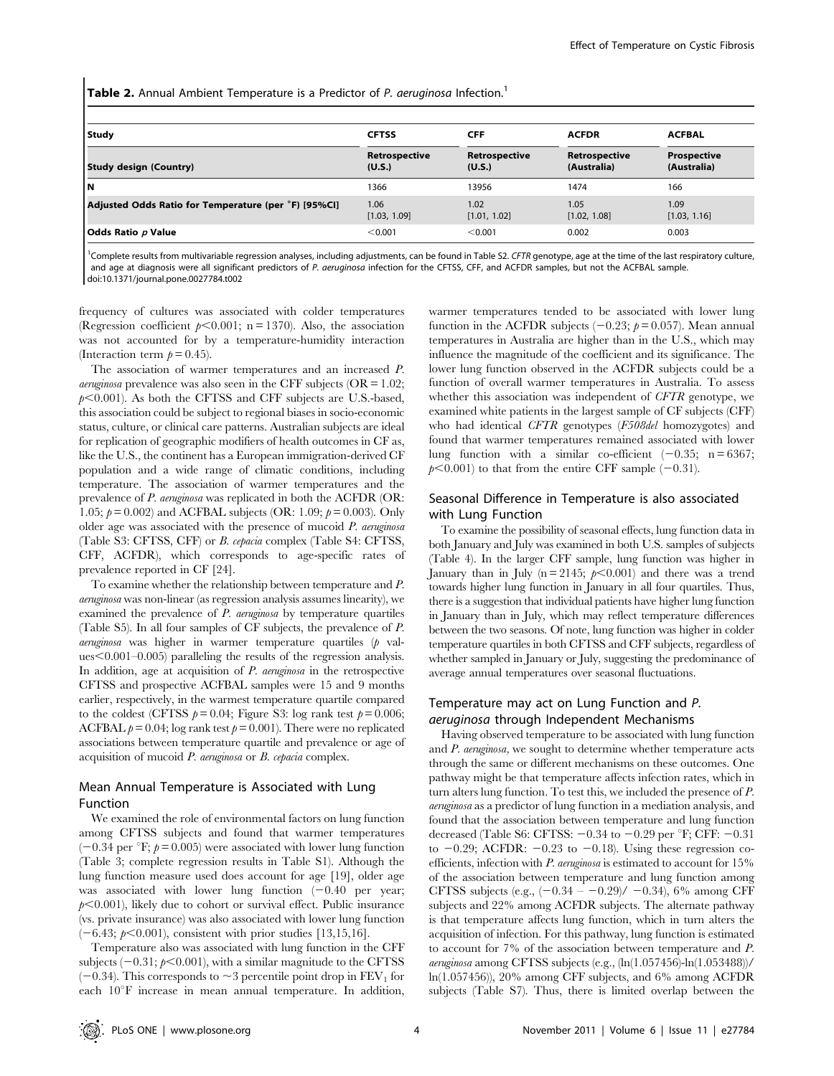**Table 2.** Annual Ambient Temperature is a Predictor of P. aeruginosa Infection.<sup>1</sup>

| Study                                                | <b>CFTSS</b>            | <b>CFF</b>              | <b>ACFDR</b>                 | <b>ACFBAL</b>              |  |
|------------------------------------------------------|-------------------------|-------------------------|------------------------------|----------------------------|--|
| <b>Study design (Country)</b>                        | Retrospective<br>(U.S.) | Retrospective<br>(U.S.) | Retrospective<br>(Australia) | Prospective<br>(Australia) |  |
| lΝ                                                   | 1366                    | 13956                   | 1474                         | 166                        |  |
| Adjusted Odds Ratio for Temperature (per °F) [95%Cl] | 1.06<br>[1.03, 1.09]    | 1.02<br>[1.01, 1.02]    | 1.05<br>[1.02, 1.08]         | 1.09<br>[1.03, 1.16]       |  |
| Odds Ratio <i>p</i> Value                            | < 0.001                 | < 0.001                 | 0.002                        | 0.003                      |  |

<sup>1</sup>Complete results from multivariable regression analyses, including adjustments, can be found in Table S2. CFTR genotype, age at the time of the last respiratory culture, and age at diagnosis were all significant predictors of P. aeruginosa infection for the CFTSS, CFF, and ACFDR samples, but not the ACFBAL sample. doi:10.1371/journal.pone.0027784.t002

frequency of cultures was associated with colder temperatures (Regression coefficient  $p<0.001$ ; n = 1370). Also, the association was not accounted for by a temperature-humidity interaction (Interaction term  $p = 0.45$ ).

The association of warmer temperatures and an increased P. *aeruginosa* prevalence was also seen in the CFF subjects ( $OR = 1.02$ ;  $p<0.001$ ). As both the CFTSS and CFF subjects are U.S.-based, this association could be subject to regional biases in socio-economic status, culture, or clinical care patterns. Australian subjects are ideal for replication of geographic modifiers of health outcomes in CF as, like the U.S., the continent has a European immigration-derived CF population and a wide range of climatic conditions, including temperature. The association of warmer temperatures and the prevalence of P. aeruginosa was replicated in both the ACFDR (OR: 1.05;  $p = 0.002$ ) and ACFBAL subjects (OR: 1.09;  $p = 0.003$ ). Only older age was associated with the presence of mucoid  $P$ . aeruginosa (Table S3: CFTSS, CFF) or B. cepacia complex (Table S4: CFTSS, CFF, ACFDR), which corresponds to age-specific rates of prevalence reported in CF [24].

To examine whether the relationship between temperature and P. aeruginosa was non-linear (as regression analysis assumes linearity), we examined the prevalence of P. aeruginosa by temperature quartiles (Table S5). In all four samples of CF subjects, the prevalence of P.  $a$ eruginosa was higher in warmer temperature quartiles  $(p \text{ val}$ ues $\leq 0.001 - 0.005$  paralleling the results of the regression analysis. In addition, age at acquisition of  $P$ , *aeruginosa* in the retrospective CFTSS and prospective ACFBAL samples were 15 and 9 months earlier, respectively, in the warmest temperature quartile compared to the coldest (CFTSS  $p = 0.04$ ; Figure S3: log rank test  $p = 0.006$ ; ACFBAL  $p = 0.04$ ; log rank test  $p = 0.001$ ). There were no replicated associations between temperature quartile and prevalence or age of acquisition of mucoid P. aeruginosa or B. cepacia complex.

# Mean Annual Temperature is Associated with Lung Function

We examined the role of environmental factors on lung function among CFTSS subjects and found that warmer temperatures  $(-0.34$  per  $\mathrm{F}$ ;  $p = 0.005$ ) were associated with lower lung function (Table 3; complete regression results in Table S1). Although the lung function measure used does account for age [19], older age was associated with lower lung function  $(-0.40$  per year;  $p<0.001$ ), likely due to cohort or survival effect. Public insurance (vs. private insurance) was also associated with lower lung function  $(-6.43; p<0.001)$ , consistent with prior studies [13,15,16].

Temperature also was associated with lung function in the CFF subjects  $(-0.31; p<0.001)$ , with a similar magnitude to the CFTSS  $(-0.34)$ . This corresponds to  $\sim$  3 percentile point drop in FEV<sub>1</sub> for each  $10^{\circ}$ F increase in mean annual temperature. In addition,

warmer temperatures tended to be associated with lower lung function in the ACFDR subjects (-0.23;  $p = 0.057$ ). Mean annual temperatures in Australia are higher than in the U.S., which may influence the magnitude of the coefficient and its significance. The lower lung function observed in the ACFDR subjects could be a function of overall warmer temperatures in Australia. To assess whether this association was independent of CFTR genotype, we examined white patients in the largest sample of CF subjects (CFF) who had identical CFTR genotypes (F508del homozygotes) and found that warmer temperatures remained associated with lower lung function with a similar co-efficient  $(-0.35; n = 6367;$  $p<0.001$ ) to that from the entire CFF sample (-0.31).

# Seasonal Difference in Temperature is also associated with Lung Function

To examine the possibility of seasonal effects, lung function data in both January and July was examined in both U.S. samples of subjects (Table 4). In the larger CFF sample, lung function was higher in January than in July (n = 2145;  $p \le 0.001$ ) and there was a trend towards higher lung function in January in all four quartiles. Thus, there is a suggestion that individual patients have higher lung function in January than in July, which may reflect temperature differences between the two seasons. Of note, lung function was higher in colder temperature quartiles in both CFTSS and CFF subjects, regardless of whether sampled in January or July, suggesting the predominance of average annual temperatures over seasonal fluctuations.

# Temperature may act on Lung Function and P. aeruginosa through Independent Mechanisms

Having observed temperature to be associated with lung function and P. aeruginosa, we sought to determine whether temperature acts through the same or different mechanisms on these outcomes. One pathway might be that temperature affects infection rates, which in turn alters lung function. To test this, we included the presence of P. aeruginosa as a predictor of lung function in a mediation analysis, and found that the association between temperature and lung function decreased (Table S6: CFTSS:  $-0.34$  to  $-0.29$  per °F; CFF:  $-0.31$ to  $-0.29$ ; ACFDR:  $-0.23$  to  $-0.18$ ). Using these regression coefficients, infection with P. aeruginosa is estimated to account for 15% of the association between temperature and lung function among CFTSS subjects (e.g.,  $(-0.34 - -0.29)/ -0.34$ ), 6% among CFF subjects and 22% among ACFDR subjects. The alternate pathway is that temperature affects lung function, which in turn alters the acquisition of infection. For this pathway, lung function is estimated to account for 7% of the association between temperature and P. aeruginosa among CFTSS subjects (e.g., (ln(1.057456)-ln(1.053488))/ ln(1.057456)), 20% among CFF subjects, and 6% among ACFDR subjects (Table S7). Thus, there is limited overlap between the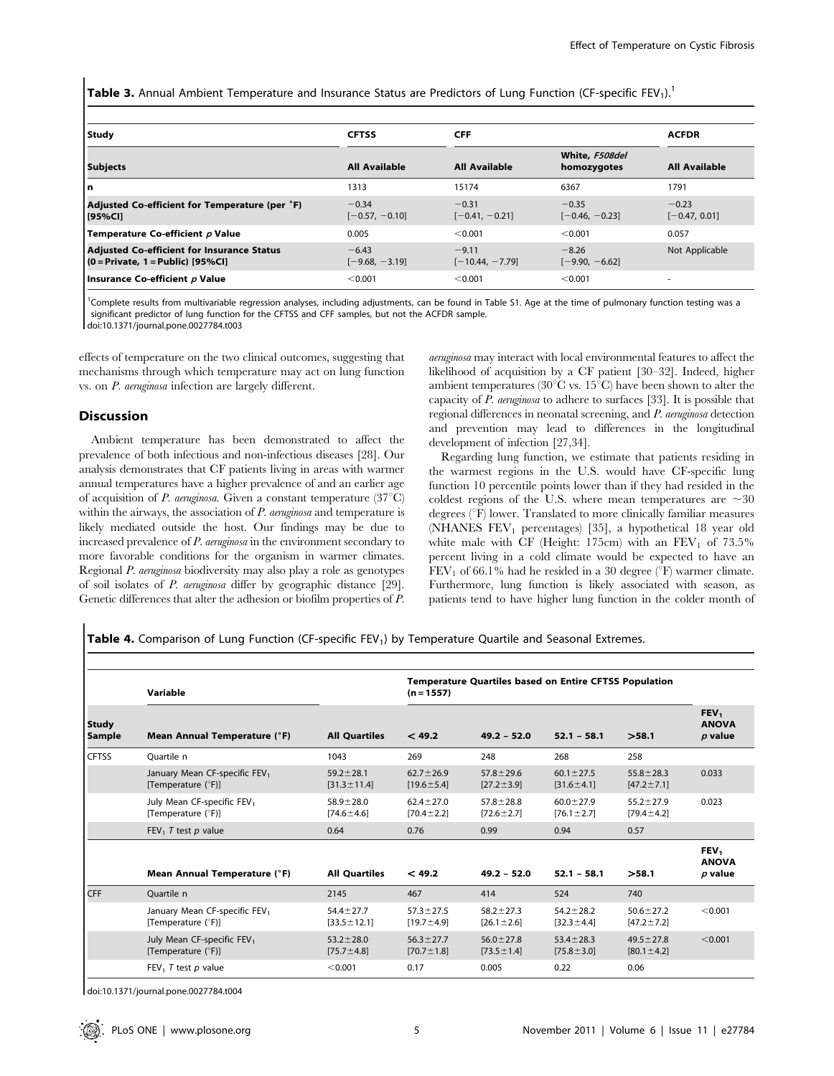Table 3. Annual Ambient Temperature and Insurance Status are Predictors of Lung Function (CF-specific FEV<sub>1</sub>).<sup>1</sup>

| Study                                                                                    | <b>CFTSS</b>                | <b>CFF</b>                   |                               | <b>ACFDR</b>               |
|------------------------------------------------------------------------------------------|-----------------------------|------------------------------|-------------------------------|----------------------------|
| <b>Subjects</b>                                                                          | <b>All Available</b>        | <b>All Available</b>         | White, F508del<br>homozygotes | <b>All Available</b>       |
| l n                                                                                      | 1313                        | 15174                        | 6367                          | 1791                       |
| Adjusted Co-efficient for Temperature (per °F)<br>[95%Cl]                                | $-0.34$<br>$[-0.57, -0.10]$ | $-0.31$<br>$[-0.41, -0.21]$  | $-0.35$<br>$[-0.46, -0.23]$   | $-0.23$<br>$[-0.47, 0.01]$ |
| Temperature Co-efficient p Value                                                         | 0.005                       | < 0.001                      | < 0.001                       | 0.057                      |
| <b>Adjusted Co-efficient for Insurance Status</b><br>$(0 = Private, 1 = Public)$ [95%CI] | $-6.43$<br>$[-9.68, -3.19]$ | $-9.11$<br>$[-10.44, -7.79]$ | $-8.26$<br>$[-9.90, -6.62]$   | Not Applicable             |
| Insurance Co-efficient p Value                                                           | < 0.001                     | < 0.001                      | < 0.001                       | $\overline{\phantom{a}}$   |

<sup>1</sup>Complete results from multivariable regression analyses, including adjustments, can be found in Table S1. Age at the time of pulmonary function testing was a significant predictor of lung function for the CFTSS and CFF samples, but not the ACFDR sample. doi:10.1371/journal.pone.0027784.t003

effects of temperature on the two clinical outcomes, suggesting that mechanisms through which temperature may act on lung function vs. on P. aeruginosa infection are largely different.

## **Discussion**

Ambient temperature has been demonstrated to affect the prevalence of both infectious and non-infectious diseases [28]. Our analysis demonstrates that CF patients living in areas with warmer annual temperatures have a higher prevalence of and an earlier age of acquisition of P. aeruginosa. Given a constant temperature  $(37^{\circ}C)$ within the airways, the association of  $P$ . *aeruginosa* and temperature is likely mediated outside the host. Our findings may be due to increased prevalence of P. aeruginosa in the environment secondary to more favorable conditions for the organism in warmer climates. Regional P. aeruginosa biodiversity may also play a role as genotypes of soil isolates of P. aeruginosa differ by geographic distance [29]. Genetic differences that alter the adhesion or biofilm properties of P.

aeruginosa may interact with local environmental features to affect the likelihood of acquisition by a CF patient [30–32]. Indeed, higher ambient temperatures ( $30^{\circ}$ C vs.  $15^{\circ}$ C) have been shown to alter the capacity of  $P$ . aeruginosa to adhere to surfaces [33]. It is possible that regional differences in neonatal screening, and P. aeruginosa detection and prevention may lead to differences in the longitudinal development of infection [27,34].

Regarding lung function, we estimate that patients residing in the warmest regions in the U.S. would have CF-specific lung function 10 percentile points lower than if they had resided in the coldest regions of the U.S. where mean temperatures are  $\sim 30$ degrees  $(^\circ$ F) lower. Translated to more clinically familiar measures (NHANES  $FEV_1$  percentages) [35], a hypothetical 18 year old white male with CF (Height: 175cm) with an  $FEV_1$  of 73.5% percent living in a cold climate would be expected to have an  $FEV<sub>1</sub>$  of 66.1% had he resided in a 30 degree ( $\degree$ F) warmer climate. Furthermore, lung function is likely associated with season, as patients tend to have higher lung function in the colder month of

Table 4. Comparison of Lung Function (CF-specific FEV<sub>1</sub>) by Temperature Quartile and Seasonal Extremes.

|                               | Variable                                                        |                                      | <b>Temperature Quartiles based on Entire CFTSS Population</b><br>$(n = 1557)$ |                                     |                                     |                                     |                                               |
|-------------------------------|-----------------------------------------------------------------|--------------------------------------|-------------------------------------------------------------------------------|-------------------------------------|-------------------------------------|-------------------------------------|-----------------------------------------------|
| <b>Study</b><br><b>Sample</b> | Mean Annual Temperature (°F)                                    | <b>All Quartiles</b>                 | < 49.2                                                                        | $49.2 - 52.0$                       | $52.1 - 58.1$                       | >58.1                               | FEV <sub>1</sub><br><b>ANOVA</b><br>$p$ value |
| <b>CFTSS</b>                  | Ouartile n                                                      | 1043                                 | 269                                                                           | 248                                 | 268                                 | 258                                 |                                               |
|                               | January Mean CF-specific FEV <sub>1</sub><br>[Temperature (°F)] | $59.2 \pm 28.1$<br>$[31.3 \pm 11.4]$ | $62.7 \pm 26.9$<br>$[19.6 \pm 5.4]$                                           | $57.8 \pm 29.6$<br>$[27.2 \pm 3.9]$ | $60.1 \pm 27.5$<br>$[31.6 \pm 4.1]$ | $55.8 \pm 28.3$<br>$[47.2 \pm 7.1]$ | 0.033                                         |
|                               | July Mean CF-specific FEV <sub>1</sub><br>[Temperature (°F)]    | $58.9 \pm 28.0$<br>$[74.6 \pm 4.6]$  | $62.4 \pm 27.0$<br>$[70.4 \pm 2.2]$                                           | $57.8 \pm 28.8$<br>$[72.6 \pm 2.7]$ | $60.0 \pm 27.9$<br>$[76.1 \pm 2.7]$ | $55.2 \pm 27.9$<br>$[79.4 \pm 4.2]$ | 0.023                                         |
|                               | FEV <sub>1</sub> T test $p$ value                               | 0.64                                 | 0.76                                                                          | 0.99                                | 0.94                                | 0.57                                |                                               |
|                               | Mean Annual Temperature (°F)                                    | <b>All Quartiles</b>                 | < 49.2                                                                        | $49.2 - 52.0$                       | $52.1 - 58.1$                       | >58.1                               | FEV <sub>1</sub><br><b>ANOVA</b><br>$p$ value |
| <b>CFF</b>                    | Ouartile n                                                      | 2145                                 | 467                                                                           | 414                                 | 524                                 | 740                                 |                                               |
|                               | January Mean CF-specific FEV <sub>1</sub><br>[Temperature (°F)] | $54.4 \pm 27.7$<br>$[33.5 \pm 12.1]$ | $57.3 \pm 27.5$<br>$[19.7 \pm 4.9]$                                           | $58.2 \pm 27.3$<br>$[26.1 \pm 2.6]$ | $54.2 \pm 28.2$<br>$[32.3 \pm 4.4]$ | $50.6 \pm 27.2$<br>$[47.2 \pm 7.2]$ | < 0.001                                       |
|                               | July Mean CF-specific FEV <sub>1</sub><br>[Temperature (°F)]    | $53.2 \pm 28.0$<br>$[75.7 \pm 4.8]$  | $56.3 \pm 27.7$<br>$[70.7 \pm 1.8]$                                           | $56.0 \pm 27.8$<br>$[73.5 \pm 1.4]$ | $53.4 \pm 28.3$<br>$[75.8 \pm 3.0]$ | $49.5 \pm 27.8$<br>$[80.1 \pm 4.2]$ | < 0.001                                       |
|                               | FEV <sub>1</sub> T test $p$ value                               | < 0.001                              | 0.17                                                                          | 0.005                               | 0.22                                | 0.06                                |                                               |

doi:10.1371/journal.pone.0027784.t004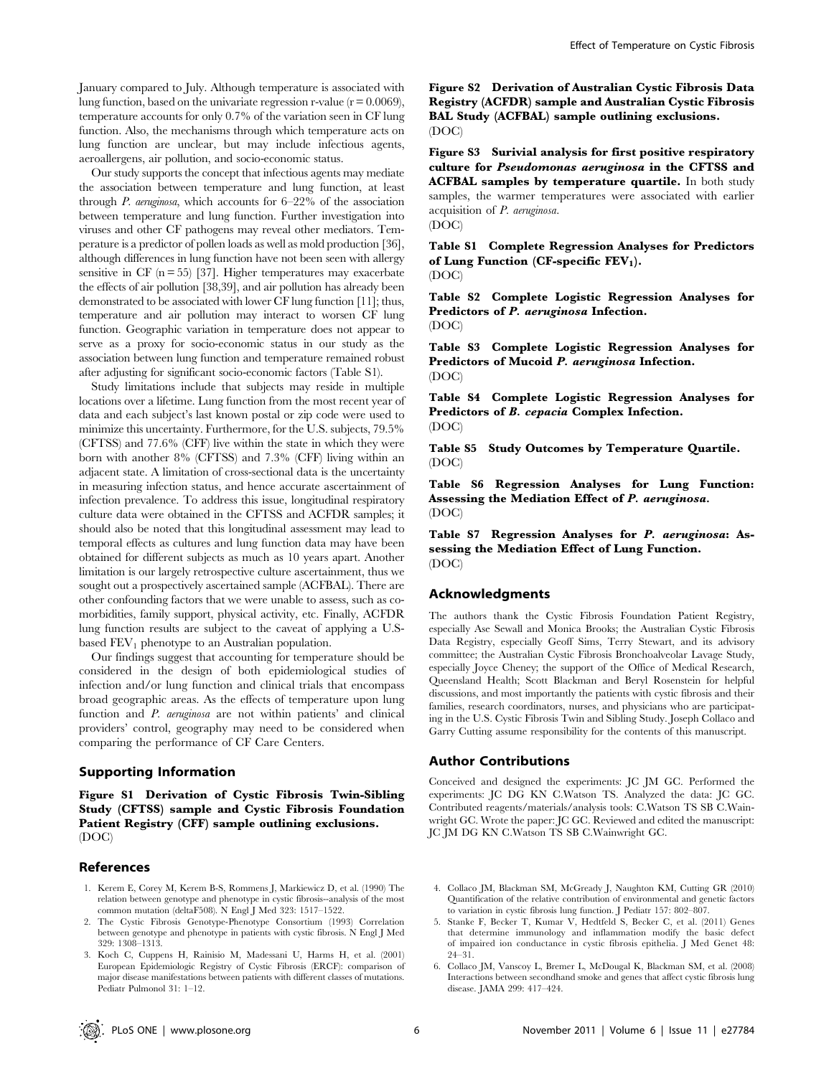January compared to July. Although temperature is associated with lung function, based on the univariate regression r-value  $(r = 0.0069)$ , temperature accounts for only 0.7% of the variation seen in CF lung function. Also, the mechanisms through which temperature acts on lung function are unclear, but may include infectious agents, aeroallergens, air pollution, and socio-economic status.

Our study supports the concept that infectious agents may mediate the association between temperature and lung function, at least through P. aeruginosa, which accounts for 6–22% of the association between temperature and lung function. Further investigation into viruses and other CF pathogens may reveal other mediators. Temperature is a predictor of pollen loads as well as mold production [36], although differences in lung function have not been seen with allergy sensitive in CF  $(n = 55)$  [37]. Higher temperatures may exacerbate the effects of air pollution [38,39], and air pollution has already been demonstrated to be associated with lower CF lung function [11]; thus, temperature and air pollution may interact to worsen CF lung function. Geographic variation in temperature does not appear to serve as a proxy for socio-economic status in our study as the association between lung function and temperature remained robust after adjusting for significant socio-economic factors (Table S1).

Study limitations include that subjects may reside in multiple locations over a lifetime. Lung function from the most recent year of data and each subject's last known postal or zip code were used to minimize this uncertainty. Furthermore, for the U.S. subjects, 79.5% (CFTSS) and 77.6% (CFF) live within the state in which they were born with another 8% (CFTSS) and 7.3% (CFF) living within an adjacent state. A limitation of cross-sectional data is the uncertainty in measuring infection status, and hence accurate ascertainment of infection prevalence. To address this issue, longitudinal respiratory culture data were obtained in the CFTSS and ACFDR samples; it should also be noted that this longitudinal assessment may lead to temporal effects as cultures and lung function data may have been obtained for different subjects as much as 10 years apart. Another limitation is our largely retrospective culture ascertainment, thus we sought out a prospectively ascertained sample (ACFBAL). There are other confounding factors that we were unable to assess, such as comorbidities, family support, physical activity, etc. Finally, ACFDR lung function results are subject to the caveat of applying a U.Sbased  $FEV<sub>1</sub>$  phenotype to an Australian population.

Our findings suggest that accounting for temperature should be considered in the design of both epidemiological studies of infection and/or lung function and clinical trials that encompass broad geographic areas. As the effects of temperature upon lung function and P. aeruginosa are not within patients' and clinical providers' control, geography may need to be considered when comparing the performance of CF Care Centers.

## Supporting Information

Figure S1 Derivation of Cystic Fibrosis Twin-Sibling Study (CFTSS) sample and Cystic Fibrosis Foundation Patient Registry (CFF) sample outlining exclusions. (DOC)

## References

- 1. Kerem E, Corey M, Kerem B-S, Rommens J, Markiewicz D, et al. (1990) The relation between genotype and phenotype in cystic fibrosis--analysis of the most common mutation (deltaF508). N Engl J Med 323: 1517–1522.
- 2. The Cystic Fibrosis Genotype-Phenotype Consortium (1993) Correlation between genotype and phenotype in patients with cystic fibrosis. N Engl J Med 329: 1308–1313.
- 3. Koch C, Cuppens H, Rainisio M, Madessani U, Harms H, et al. (2001) European Epidemiologic Registry of Cystic Fibrosis (ERCF): comparison of major disease manifestations between patients with different classes of mutations. Pediatr Pulmonol 31: 1–12.

Figure S2 Derivation of Australian Cystic Fibrosis Data Registry (ACFDR) sample and Australian Cystic Fibrosis BAL Study (ACFBAL) sample outlining exclusions. (DOC)

Figure S3 Surivial analysis for first positive respiratory culture for Pseudomonas aeruginosa in the CFTSS and ACFBAL samples by temperature quartile. In both study samples, the warmer temperatures were associated with earlier acquisition of P. aeruginosa. (DOC)

Table S1 Complete Regression Analyses for Predictors of Lung Function (CF-specific  $FEV<sub>1</sub>$ ).

(DOC)

Table S2 Complete Logistic Regression Analyses for Predictors of P. aeruginosa Infection. (DOC)

Table S3 Complete Logistic Regression Analyses for Predictors of Mucoid P. aeruginosa Infection. (DOC)

Table S4 Complete Logistic Regression Analyses for Predictors of B. cepacia Complex Infection. (DOC)

Table S5 Study Outcomes by Temperature Quartile. (DOC)

Table S6 Regression Analyses for Lung Function: Assessing the Mediation Effect of P. aeruginosa. (DOC)

Table S7 Regression Analyses for P. aeruginosa: Assessing the Mediation Effect of Lung Function. (DOC)

## Acknowledgments

The authors thank the Cystic Fibrosis Foundation Patient Registry, especially Ase Sewall and Monica Brooks; the Australian Cystic Fibrosis Data Registry, especially Geoff Sims, Terry Stewart, and its advisory committee; the Australian Cystic Fibrosis Bronchoalveolar Lavage Study, especially Joyce Cheney; the support of the Office of Medical Research, Queensland Health; Scott Blackman and Beryl Rosenstein for helpful discussions, and most importantly the patients with cystic fibrosis and their families, research coordinators, nurses, and physicians who are participating in the U.S. Cystic Fibrosis Twin and Sibling Study. Joseph Collaco and Garry Cutting assume responsibility for the contents of this manuscript.

## Author Contributions

Conceived and designed the experiments: JC JM GC. Performed the experiments: JC DG KN C.Watson TS. Analyzed the data: JC GC. Contributed reagents/materials/analysis tools: C.Watson TS SB C.Wainwright GC. Wrote the paper: JC GC. Reviewed and edited the manuscript: JC JM DG KN C.Watson TS SB C.Wainwright GC.

- 4. Collaco JM, Blackman SM, McGready J, Naughton KM, Cutting GR (2010) Quantification of the relative contribution of environmental and genetic factors to variation in cystic fibrosis lung function. J Pediatr 157: 802–807.
- 5. Stanke F, Becker T, Kumar V, Hedtfeld S, Becker C, et al. (2011) Genes that determine immunology and inflammation modify the basic defect of impaired ion conductance in cystic fibrosis epithelia. J Med Genet 48: 24–31.
- 6. Collaco JM, Vanscoy L, Bremer L, McDougal K, Blackman SM, et al. (2008) Interactions between secondhand smoke and genes that affect cystic fibrosis lung disease. JAMA 299: 417–424.